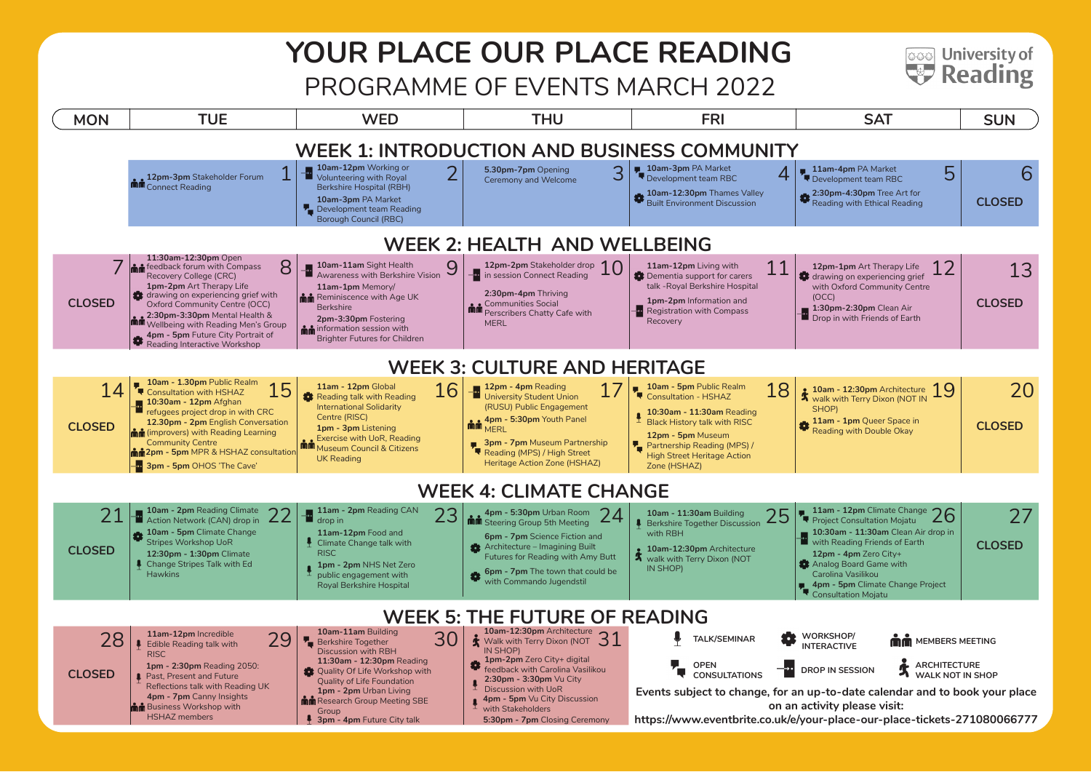# **YOUR PLACE OUR PLACE READING**

**ಡಾಂ University of** Reading